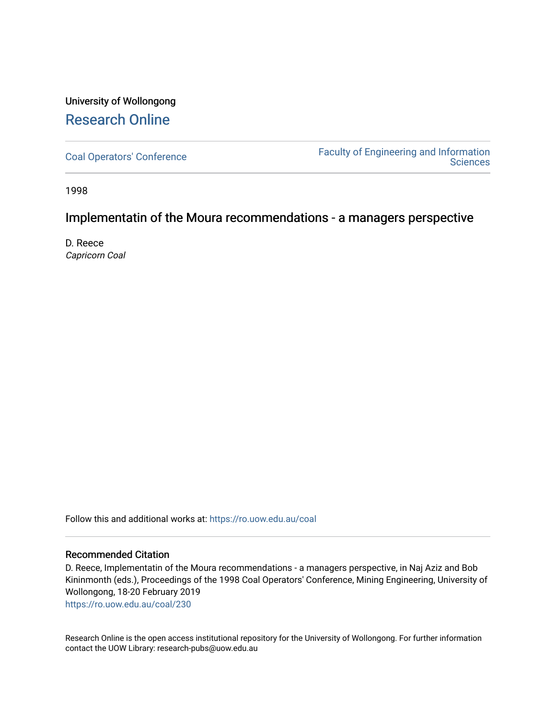## University of Wollongong [Research Online](https://ro.uow.edu.au/)

[Coal Operators' Conference](https://ro.uow.edu.au/coal) [Faculty of Engineering and Information](https://ro.uow.edu.au/eis)  **Sciences** 

1998

## Implementatin of the Moura recommendations - a managers perspective

D. Reece Capricorn Coal

Follow this and additional works at: [https://ro.uow.edu.au/coal](https://ro.uow.edu.au/coal?utm_source=ro.uow.edu.au%2Fcoal%2F230&utm_medium=PDF&utm_campaign=PDFCoverPages) 

#### Recommended Citation

D. Reece, Implementatin of the Moura recommendations - a managers perspective, in Naj Aziz and Bob Kininmonth (eds.), Proceedings of the 1998 Coal Operators' Conference, Mining Engineering, University of Wollongong, 18-20 February 2019

[https://ro.uow.edu.au/coal/230](https://ro.uow.edu.au/coal/230?utm_source=ro.uow.edu.au%2Fcoal%2F230&utm_medium=PDF&utm_campaign=PDFCoverPages) 

Research Online is the open access institutional repository for the University of Wollongong. For further information contact the UOW Library: research-pubs@uow.edu.au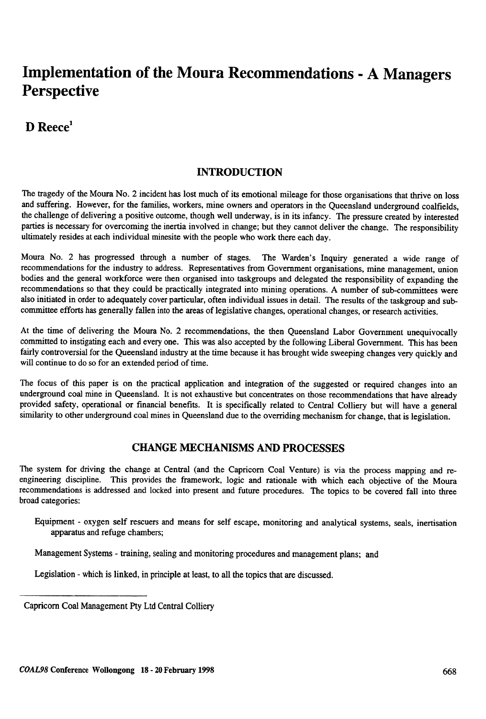# Implementation of the Moura Recommendations -A Managers **Perspective**

D Reece<sup>1</sup>

## INTRODUCTION

The tragedy of the Moura No.2 incident has lost much of its emotional mileage for those organisations that thrive on loss and suffering. However, for the families, workers, mine owners and operators in the Queensland underground coalfields, the challenge of delivering a positive outcome, though well underway, is in its infancy. The pressure created by interested parties is necessary for overcoming the inertia involved in change; but they cannot deliver the change. The responsibility ultimately resides at each individual minesite with the people who work there each day.

Moura No.2 has progressed through a number of stages. The Warden's Inquiry generated a wide range of recommendations for the industry to address. Representatives from Government organisations, mine management, union bodies and the general workforce were then organised into taskgroups and delegated the responsibility of expanding the recommendations so that they could be practically integrated into mining operations. A number of sub-committees were also initiated in order to adequately cover particular, often individual issues in detail. The results of the taskgroup and subcommittee efforts has generally fallen into the areas of legislative changes, operational changes, or research activities.

At the time of delivering the Moura No.2 recommendations, the then Queensland Labor Government unequivocally committed to instigating each and every one. This was also accepted by the following Liberal Government. This has been fairly controversial for the Queensland industry at the time because it has brought wide sweeping changes very quickly and will continue to do so for an extended period of time.

The focus of this paper is on the practical application and integration of the suggested or required changes into an underground coal mine in Queensland. It is not exhaustive but concentrates on those recommendations that have already provided safety, operational or financial benefits. It is specifically related to Central Colliery but will have a general similarity to other underground coal mines in Queensland due to the overriding mechanism for change, that is legislation.

## CHANGE MECHANISMS AND PROCESSES

The system for driving the change at Central (and the Capricorn Coal Venture) is via the process mapping and reengineering discipline. This provides the framework, logic and rationale with which each objective of the Moura recommendations is addressed and locked into present and future procedures. The topics to be covered fall into three broad categories:

Equipment - oxygen self rescuers and means for self escape, monitoring and analytical systems, seals, inertisation apparatus and refuge chambers;

Management Systems - training, sealing and monitoring procedures and management plans; and

Legislation -which is linked, in principle at least, to all the topics that are discussed.

Capricorn Coal Management Pty Ltd Central Colliery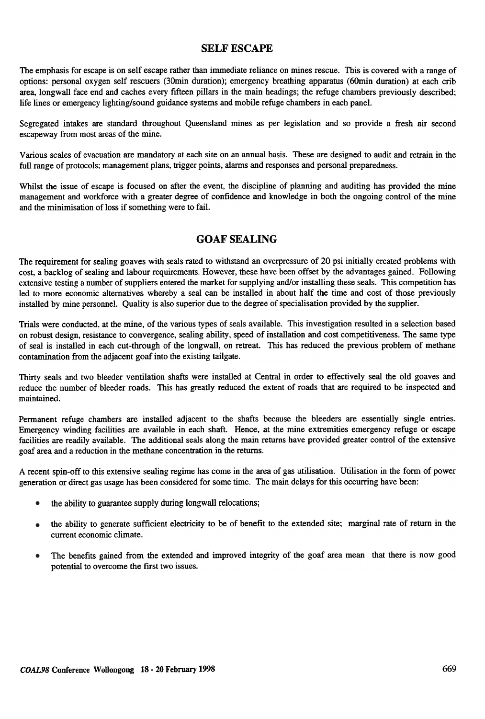#### SELF ESCAPE

The emphasis for escape is on self escape rather than immediate reliance on mines rescue. This is covered with a range of options: personal oxygen self rescuers (30min duration); emergency breathing apparatus (60min duration) at each crib area, longwall face end and caches every fifteen pillars in the main headings; the refuge chambers previously described; life lines or emergency lighting/sound guidance systems and mobile refuge chambers in each panel.

Segregated intakes are standard throughout Queensland mines as per legislation and so provide a fresh air second escapeway from most areas of the mine.

Various scales of evacuation are mandatory at each site on an annual basis. These are designed to audit and retrain in the full range of protocols; management plans, trigger points, alarms and responses and personal preparedness.

Whilst the issue of escape is focused on after the event, the discipline of planning and auditing has provided the mine management and workforce with a greater degree of confidence and knowledge in both the ongoing control of the mine and the minimisation of loss if something were to fail.

## GOAF SEALING

The requirement for sealing goaves with seals rated to withstand an overpressure of 20 psi initially created problems with cost, a backlog of sealing and labour requirements. However, these have been offset by the advantages gained. Following extensive testing a number of suppliers entered the market for supplying and/or installing these seals. This competition has led to more economic alternatives whereby a seal can be installed in about half the time and cost of those previously installed by mine personnel. Quality is also superior due to the degree of specialisation provided by the supplier.

Trials were conducted, at the mine, of the various types of seals available. This investigation resulted in a selection based on robust design, resistance to convergence, sealing ability , speed of installation and cost competitiveness. The same type of seal is installed in each cut-through of the longwall, on retreat. This has reduced the previous problem of methane contamination from the adjacent goaf into the existing tailgate.

Thirty seals and two bleeder ventilation shafts were installed at Central in order to effectively seal the old goaves and reduce the number of bleeder roads. This has greatly reduced the extent of roads that are required to be inspected and maintained.

Permanent refuge chambers are installed adjacent to the shafts because the bleeders are essentially single entries. Emergency winding facilities are available in each shaft. Hence, at the mine extremities emergency refuge or escape facilities are readily available. The additional seals along the main returns have provided greater control of the extensive goaf area and a reduction in the methane concentration in the returns.

A recent spin-off to this extensive sealing regime has come in the area of gas utilisation. Utilisation in the form of power generation or direct gas usage has been considered for some time. The main delays for this occurring have been:

- the ability to guarantee supply during longwall relocations; •
- the ability to generate sufficient electricity to be of benefit to the extended site; marginal rate of return in the current economic climate. •
- The benefits gained from the extended and improved integrity of the goaf area mean that there is now good potential to overcome the first two issues. •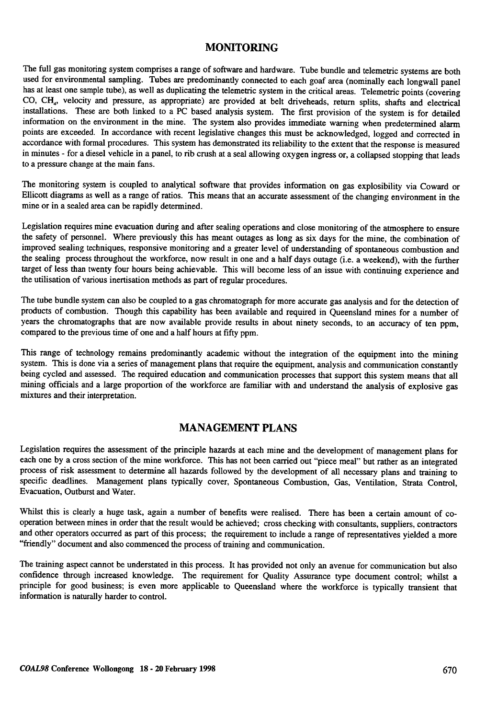## **MONITORING**

The full gas monitoring system comprises a range of software and hardware. Tube bundle and telemetric systems are both used for environmental sampling. Tubes are predominantly connected to each goaf area (nominally each longwall panel has at least one sample tube), as well as duplicating the telemetric system in the critical areas. Telemetric points (covering CO. CH, velocity and pressure, as appropriate) are provided at belt driveheads, return splits, shafts and electrical installations. These are both linked to a PC based analysis system. The first provision of the system is for detailed information on the environment in the mine. The system also provides immediate warning when predetermined alarm points are exceeded. In accordance with recent legislative changes this must be acknowledged, logged and corrected in accordance with formal procedures. This system has demonstrated its reliability to the extent that the response is measured in minutes - for a diesel vehicle in a panel, to rib crush at a seal allowing oxygen ingress or, a collapsed stopping that leads to a pressure change at the main fans.

The monitoring system is coupled to analytical software that provides information on gas explosibility via Coward or Ellicott diagrams as well as a range of ratios. This means that an accurate assessment of the changing environment in the mine or in a sealed area can be rapidly determined.

Legislation requires mine evacuation during and after sealing operations and close monitoring of the atmosphere to ensure the safety of personnel. Where previously this has meant outages as long as six days for the mine, the combination of improved sealing techniques, responsive monitoring and a greater level of understanding of spontaneous combustion and the sealing process throughout the workforce, now result in one and a half days outage (i.e. a weekend), with the further target of less than twenty four hours being achievable. This will become less of an issue with continuing experience and the utilisation of various inertisation methods as part of regular procedures.

The tube bundle system can also be coupled to a gas chromatograph for more accurate gas analysis and for the detection of products of combustion. Though this capability has been available and required in Queensland mines for a number of years the chromatographs that are now available provide results in about ninety seconds, to an accuracy of ten ppm, compared to the previous time of one and a half hours at fifty ppm.

This range of technology remains predominantly academic without the integration of the equipment into the mining system. This is done via a series of management plans that require the equipment, analysis and communication constantly being cycled and assessed. The required education and communication processes that support this system means that all mining officials and a large proportion of the workforce are familiar with and understand the analysis of explosive gas mixtures and their interpretation.

#### MANAGEMENT PLANS

Legislation requires the assessment of the principle hazards at each mine and the development of management plans for each one by a cross section of the mine workforce. This has not been carried out "piece meal" but rather as an integrated process of risk assessment to determine all hazards followed by the development of all necessary plans and training to specific deadlines. Management plans typically cover, Spontaneous Combustion, Gas, Ventilation, Strata Control, Evacuation, Outburst and Water.

Whilst this is clearly a huge task, again a number of benefits were realised. There has been a certain amount of cooperation between mines in order that the result would be achieved; cross checking with consultants, suppliers, contractors and other operators occurred as part of this process; the requirement to include a range of representatives yielded a more "friendly" document and also commenced the process of training and communication.

The training aspect cannot be understated in this process. It has provided not only an avenue for communication but also confidence through increased knowledge. The requirement for Quality Assurance type document control; whilst a principle for good business; is even more applicable to Queensland where the workforce is typically transient that information is naturally harder to control.